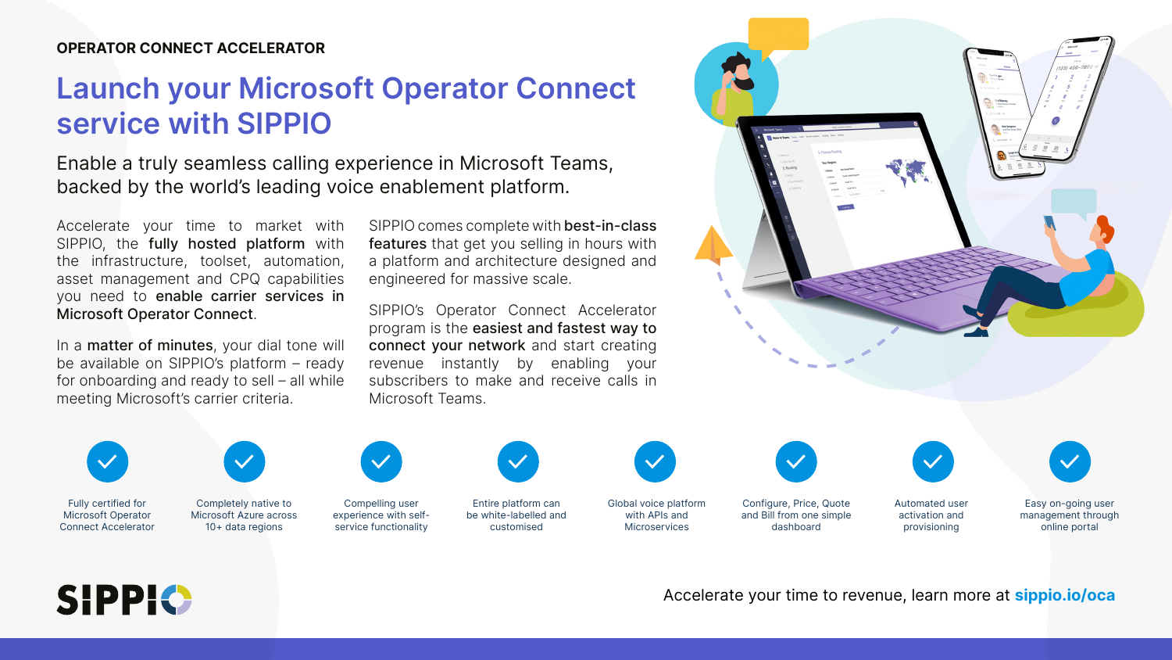## Launch your Microsoft Operator Connect service with SIPPIO

Enable a truly seamless calling experience in Microsoft Teams, backed by the world's leading voice enablement platform.

In a matter of minutes, your dial tone will be available on SIPPIO's platform – ready for onboarding and ready to sell – all while meeting Microsoft's carrier criteria.

Accelerate your time to market with SIPPIO, the fully hosted platform with the infrastructure, toolset, automation, asset management and CPQ capabilities you need to enable carrier services in Microsoft Operator Connect.

SIPPIO comes complete with best-in-class features that get you selling in hours with a platform and architecture designed and engineered for massive scale.

SIPPIO's Operator Connect Accelerator program is the easiest and fastest way to connect your network and start creating revenue instantly by enabling your subscribers to make and receive calls in Microsoft Teams.



Fully certified for Microsoft Operator Connect Accelerator



Completely native to Microsoft Azure across 10+ data regions



Compelling user experience with selfservice functionality



Entire platform can be white-labelled and customised







Global voice platform with APIs and Microservices

Configure, Price, Quote and Bill from one simple dashboard

Automated user activation and provisioning

Easy on-going user management through online portal

Accelerate your time to revenue, learn more at sippio.io/oca